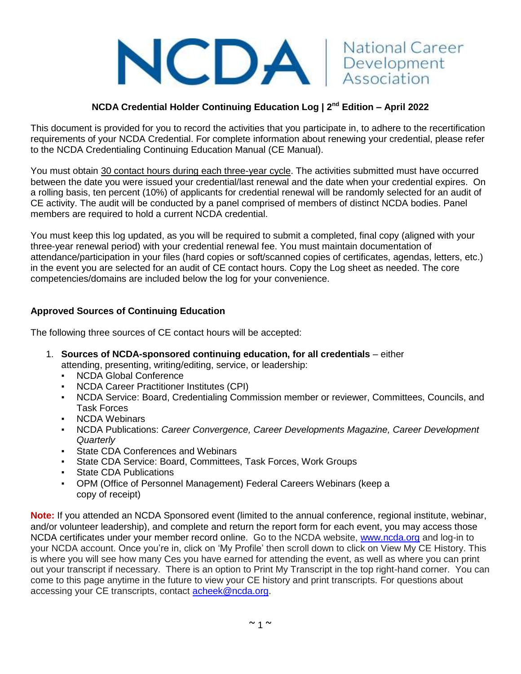

# **NCDA Credential Holder Continuing Education Log | 2nd Edition – April 2022**

This document is provided for you to record the activities that you participate in, to adhere to the recertification requirements of your NCDA Credential. For complete information about renewing your credential, please refer to the NCDA Credentialing Continuing Education Manual (CE Manual).

You must obtain 30 contact hours during each three-year cycle. The activities submitted must have occurred between the date you were issued your credential/last renewal and the date when your credential expires. On a rolling basis, ten percent (10%) of applicants for credential renewal will be randomly selected for an audit of CE activity. The audit will be conducted by a panel comprised of members of distinct NCDA bodies. Panel members are required to hold a current NCDA credential.

You must keep this log updated, as you will be required to submit a completed, final copy (aligned with your three-year renewal period) with your credential renewal fee. You must maintain documentation of attendance/participation in your files (hard copies or soft/scanned copies of certificates, agendas, letters, etc.) in the event you are selected for an audit of CE contact hours. Copy the Log sheet as needed. The core competencies/domains are included below the log for your convenience.

## **Approved Sources of Continuing Education**

The following three sources of CE contact hours will be accepted:

- 1. **Sources of NCDA-sponsored continuing education, for all credentials**  either attending, presenting, writing/editing, service, or leadership:
	- **NCDA Global Conference**
	- **NCDA Career Practitioner Institutes (CPI)**
	- NCDA Service: Board, Credentialing Commission member or reviewer, Committees, Councils, and Task Forces
	- **NCDA Webinars**
	- NCDA Publications: *Career Convergence, Career Developments Magazine, Career Development Quarterly*
	- State CDA Conferences and Webinars
	- State CDA Service: Board, Committees, Task Forces, Work Groups
	- **State CDA Publications**
	- OPM (Office of Personnel Management) Federal Careers Webinars (keep a copy of receipt)

**Note:** If you attended an NCDA Sponsored event (limited to the annual conference, regional institute, webinar, and/or volunteer leadership), and complete and return the report form for each event, you may access those NCDA certificates under your member record online. Go to the NCDA website, [www.ncda.org](http://www.ncda.org/) and log-in to your NCDA account. Once you're in, click on 'My Profile' then scroll down to click on View My CE History. This is where you will see how many Ces you have earned for attending the event, as well as where you can print out your transcript if necessary. There is an option to Print My Transcript in the top right-hand corner. You can come to this page anytime in the future to view your CE history and print transcripts. For questions about accessing your CE transcripts, contact [acheek@ncda.org.](mailto:acheek@ncda.org)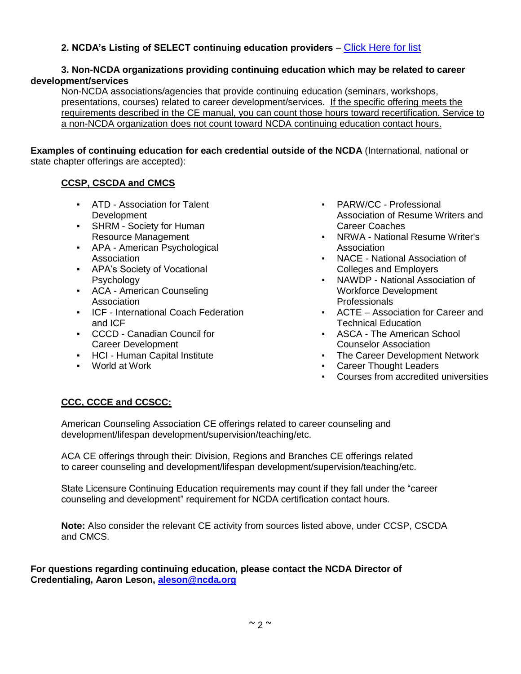# **2. NCDA's Listing of SELECT continuing education providers** – [Click Here for list](https://associationdatabase.com/aws/NCDA/pt/sp/credentialing_providers)

## **3. Non-NCDA organizations providing continuing education which may be related to career development/services**

Non-NCDA associations/agencies that provide continuing education (seminars, workshops, presentations, courses) related to career development/services. If the specific offering meets the requirements described in the CE manual, you can count those hours toward recertification. Service to a non-NCDA organization does not count toward NCDA continuing education contact hours.

**Examples of continuing education for each credential outside of the NCDA** (International, national or state chapter offerings are accepted):

## **CCSP, CSCDA and CMCS**

- ATD Association for Talent Development
- **SHRM Society for Human** Resource Management
- APA American Psychological Association
- APA's Society of Vocational Psychology
- ACA American Counseling Association
- ICF International Coach Federation and ICF
- CCCD Canadian Council for Career Development
- HCI Human Capital Institute
- World at Work
- PARW/CC Professional Association of Resume Writers and Career Coaches
- NRWA National Resume Writer's Association
- NACE National Association of Colleges and Employers
- NAWDP National Association of Workforce Development Professionals
- ACTE Association for Career and Technical Education
- ASCA The American School Counselor Association
- The Career Development Network
- Career Thought Leaders
- Courses from accredited universities

## **CCC, CCCE and CCSCC:**

American Counseling Association CE offerings related to career counseling and development/lifespan development/supervision/teaching/etc.

ACA CE offerings through their: Division, Regions and Branches CE offerings related to career counseling and development/lifespan development/supervision/teaching/etc.

State Licensure Continuing Education requirements may count if they fall under the "career counseling and development" requirement for NCDA certification contact hours.

**Note:** Also consider the relevant CE activity from sources listed above, under CCSP, CSCDA and CMCS.

**For questions regarding continuing education, please contact the NCDA Director of Credentialing, Aaron Leson, [aleson@ncda.org](about:blank)**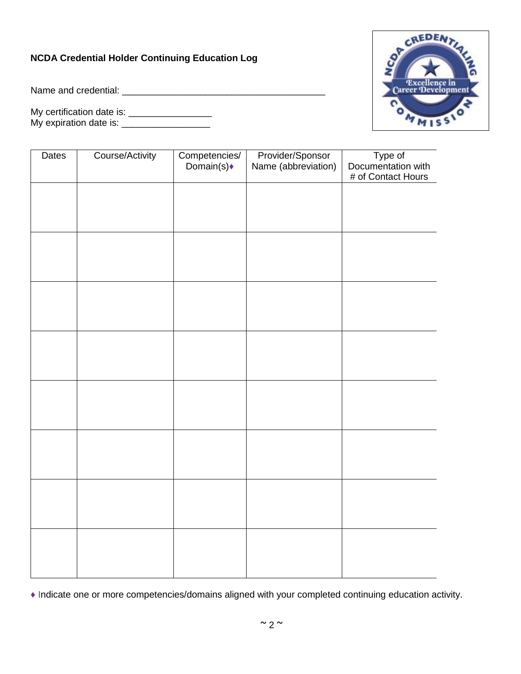# **NCDA Credential Holder Continuing Education Log**

Name and credential: \_\_\_\_\_\_\_\_\_\_\_\_\_\_\_\_\_\_\_\_\_\_\_\_\_\_\_\_\_\_\_\_\_\_\_\_\_\_\_

My certification date is: \_\_\_\_\_\_\_\_\_\_\_\_\_\_\_\_ My expiration date is: \_\_\_\_\_\_\_\_\_\_\_\_\_\_\_\_\_



| Dates | Course/Activity | Competencies/<br>Domain(s) | Provider/Sponsor<br>Name (abbreviation) | Type of<br>Documentation with<br># of Contact Hours |
|-------|-----------------|----------------------------|-----------------------------------------|-----------------------------------------------------|
|       |                 |                            |                                         |                                                     |
|       |                 |                            |                                         |                                                     |
|       |                 |                            |                                         |                                                     |
|       |                 |                            |                                         |                                                     |
|       |                 |                            |                                         |                                                     |
|       |                 |                            |                                         |                                                     |
|       |                 |                            |                                         |                                                     |
|       |                 |                            |                                         |                                                     |
|       |                 |                            |                                         |                                                     |

**♦** Indicate one or more competencies/domains aligned with your completed continuing education activity.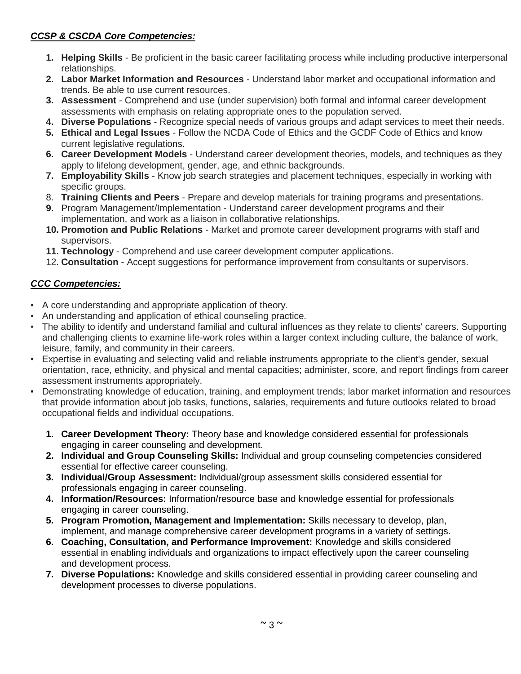# *CCSP & CSCDA Core Competencies:*

- **1. Helping Skills** Be proficient in the basic career facilitating process while including productive interpersonal relationships.
- **2. Labor Market Information and Resources** Understand labor market and occupational information and trends. Be able to use current resources.
- **3. Assessment** Comprehend and use (under supervision) both formal and informal career development assessments with emphasis on relating appropriate ones to the population served.
- **4. Diverse Populations** Recognize special needs of various groups and adapt services to meet their needs.
- **5. Ethical and Legal Issues** Follow the NCDA Code of Ethics and the GCDF Code of Ethics and know current legislative regulations.
- **6. Career Development Models** Understand career development theories, models, and techniques as they apply to lifelong development, gender, age, and ethnic backgrounds.
- **7. Employability Skills** Know job search strategies and placement techniques, especially in working with specific groups.
- 8. **Training Clients and Peers** Prepare and develop materials for training programs and presentations.
- **9.** Program Management/Implementation Understand career development programs and their implementation, and work as a liaison in collaborative relationships.
- **10. Promotion and Public Relations** Market and promote career development programs with staff and supervisors.
- **11. Technology** Comprehend and use career development computer applications.
- 12. **Consultation** Accept suggestions for performance improvement from consultants or supervisors.

## *CCC Competencies:*

- A core understanding and appropriate application of theory.
- An understanding and application of ethical counseling practice.
- The ability to identify and understand familial and cultural influences as they relate to clients' careers. Supporting and challenging clients to examine life-work roles within a larger context including culture, the balance of work, leisure, family, and community in their careers.
- Expertise in evaluating and selecting valid and reliable instruments appropriate to the client's gender, sexual orientation, race, ethnicity, and physical and mental capacities; administer, score, and report findings from career assessment instruments appropriately.
- Demonstrating knowledge of education, training, and employment trends; labor market information and resources that provide information about job tasks, functions, salaries, requirements and future outlooks related to broad occupational fields and individual occupations.
	- **1. Career Development Theory:** Theory base and knowledge considered essential for professionals engaging in career counseling and development.
	- **2. Individual and Group Counseling Skills:** Individual and group counseling competencies considered essential for effective career counseling.
	- **3. Individual/Group Assessment:** Individual/group assessment skills considered essential for professionals engaging in career counseling.
	- **4. Information/Resources:** Information/resource base and knowledge essential for professionals engaging in career counseling.
	- **5. Program Promotion, Management and Implementation:** Skills necessary to develop, plan, implement, and manage comprehensive career development programs in a variety of settings.
	- **6. Coaching, Consultation, and Performance Improvement:** Knowledge and skills considered essential in enabling individuals and organizations to impact effectively upon the career counseling and development process.
	- **7. Diverse Populations:** Knowledge and skills considered essential in providing career counseling and development processes to diverse populations.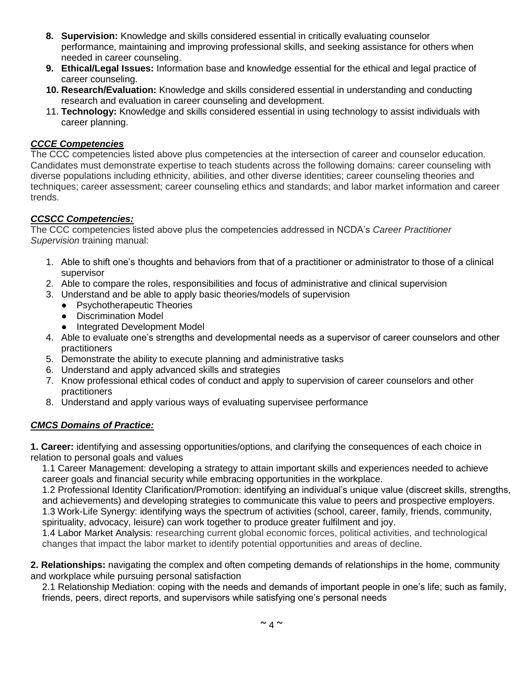- **8. Supervision:** Knowledge and skills considered essential in critically evaluating counselor performance, maintaining and improving professional skills, and seeking assistance for others when needed in career counseling.
- **9. Ethical/Legal Issues:** Information base and knowledge essential for the ethical and legal practice of career counseling.
- **10. Research/Evaluation:** Knowledge and skills considered essential in understanding and conducting research and evaluation in career counseling and development.
- 11. **Technology:** Knowledge and skills considered essential in using technology to assist individuals with career planning.

## *CCCE Competencies*

The CCC competencies listed above plus competencies at the intersection of career and counselor education. Candidates must demonstrate expertise to teach students across the following domains: career counseling with diverse populations including ethnicity, abilities, and other diverse identities; career counseling theories and techniques; career assessment; career counseling ethics and standards; and labor market information and career trends.

## *CCSCC Competencies:*

The CCC competencies listed above plus the competencies addressed in NCDA's *Career Practitioner Supervision* training manual:

- 1. Able to shift one's thoughts and behaviors from that of a practitioner or administrator to those of a clinical supervisor
- 2. Able to compare the roles, responsibilities and focus of administrative and clinical supervision
- 3. Understand and be able to apply basic theories/models of supervision
	- Psychotherapeutic Theories
	- Discrimination Model
	- Integrated Development Model
- 4. Able to evaluate one's strengths and developmental needs as a supervisor of career counselors and other practitioners
- 5. Demonstrate the ability to execute planning and administrative tasks
- 6. Understand and apply advanced skills and strategies
- 7. Know professional ethical codes of conduct and apply to supervision of career counselors and other practitioners
- 8. Understand and apply various ways of evaluating supervisee performance

## *CMCS Domains of Practice:*

**1. Career:** identifying and assessing opportunities/options, and clarifying the consequences of each choice in relation to personal goals and values

1.1 Career Management: developing a strategy to attain important skills and experiences needed to achieve career goals and financial security while embracing opportunities in the workplace.

1.2 Professional Identity Clarification/Promotion: identifying an individual's unique value (discreet skills, strengths, and achievements) and developing strategies to communicate this value to peers and prospective employers. 1.3 Work-Life Synergy: identifying ways the spectrum of activities (school, career, family, friends, community, spirituality, advocacy, leisure) can work together to produce greater fulfilment and joy.

1.4 Labor Market Analysis: researching current global economic forces, political activities, and technological changes that impact the labor market to identify potential opportunities and areas of decline.

**2. Relationships:** navigating the complex and often competing demands of relationships in the home, community and workplace while pursuing personal satisfaction

2.1 Relationship Mediation: coping with the needs and demands of important people in one's life; such as family, friends, peers, direct reports, and supervisors while satisfying one's personal needs